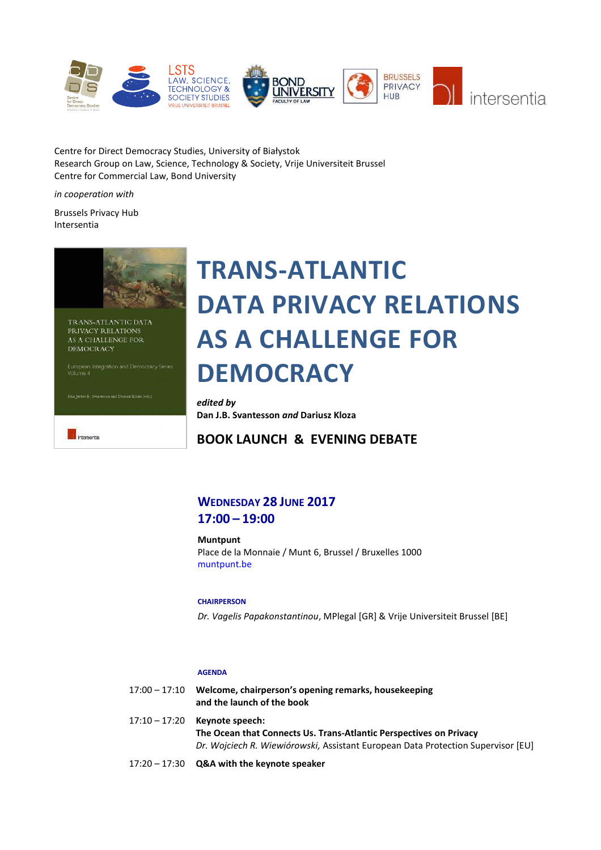

Centre for Direct Democracy Studies, University of Białystok Research Group on Law, Science, Technology & Society, Vrije Universiteit Brussel Centre for Commercial Law, Bond University

*in cooperation with*

Brussels Privacy Hub Intersentia



# **TRANS-ATLANTIC DATA PRIVACY RELATIONS AS A CHALLENGE FOR DEMOCRACY**

*edited by* **Dan J.B. Svantesson** *and* **Dariusz Kloza**

**BOOK LAUNCH & EVENING DEBATE**

# **WEDNESDAY 28 JUNE 2017 17:00 – 19:00**

**Muntpunt** Place de la Monnaie / Munt 6, Brussel / Bruxelles 1000 <muntpunt.be>

# **CHAIRPERSON**

*Dr. Vagelis Papakonstantinou*, MPlegal [GR] & Vrije Universiteit Brussel [BE]

# **AGENDA**

| 17:00 – 17:10 | Welcome, chairperson's opening remarks, housekeeping<br>and the launch of the book |
|---------------|------------------------------------------------------------------------------------|
|               | 17:10 – 17:20 Keynote speech:                                                      |
|               | The Ocean that Connects Us. Trans-Atlantic Perspectives on Privacy                 |
|               | Dr. Wojciech R. Wiewiórowski, Assistant European Data Protection Supervisor [EU]   |
|               |                                                                                    |

17:20 – 17:30 **Q&A with the keynote speaker**